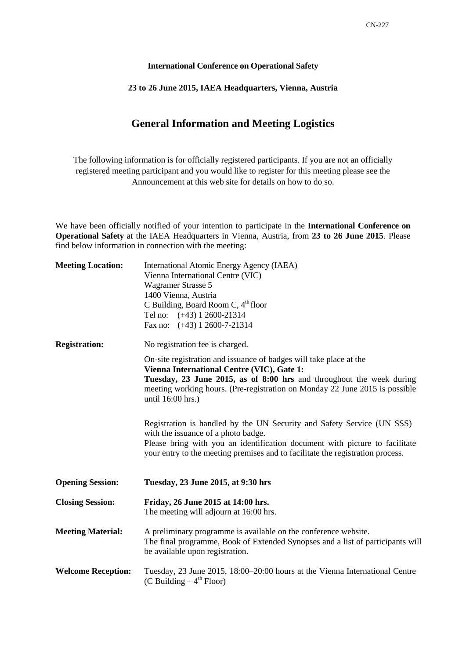## **International Conference on Operational Safety**

## **23 to 26 June 2015, IAEA Headquarters, Vienna, Austria**

## **General Information and Meeting Logistics**

The following information is for officially registered participants. If you are not an officially registered meeting participant and you would like to register for this meeting please see the Announcement at this web site for details on how to do so.

We have been officially notified of your intention to participate in the **International Conference on Operational Safety** at the IAEA Headquarters in Vienna, Austria, from **23 to 26 June 2015**. Please find below information in connection with the meeting:

| <b>Meeting Location:</b>  | International Atomic Energy Agency (IAEA)<br>Vienna International Centre (VIC)<br>Wagramer Strasse 5<br>1400 Vienna, Austria<br>C Building, Board Room C, $4th$ floor<br>Tel no: (+43) 1 2600-21314<br>Fax no: $(+43)$ 1 2600-7-21314                                                                                                                                                                                                                                                                                                                                          |
|---------------------------|--------------------------------------------------------------------------------------------------------------------------------------------------------------------------------------------------------------------------------------------------------------------------------------------------------------------------------------------------------------------------------------------------------------------------------------------------------------------------------------------------------------------------------------------------------------------------------|
| <b>Registration:</b>      | No registration fee is charged.                                                                                                                                                                                                                                                                                                                                                                                                                                                                                                                                                |
|                           | On-site registration and issuance of badges will take place at the<br>Vienna International Centre (VIC), Gate 1:<br>Tuesday, 23 June 2015, as of 8:00 hrs and throughout the week during<br>meeting working hours. (Pre-registration on Monday 22 June 2015 is possible<br>until 16:00 hrs.)<br>Registration is handled by the UN Security and Safety Service (UN SSS)<br>with the issuance of a photo badge.<br>Please bring with you an identification document with picture to facilitate<br>your entry to the meeting premises and to facilitate the registration process. |
| <b>Opening Session:</b>   | Tuesday, 23 June 2015, at 9:30 hrs                                                                                                                                                                                                                                                                                                                                                                                                                                                                                                                                             |
| <b>Closing Session:</b>   | Friday, 26 June 2015 at 14:00 hrs.<br>The meeting will adjourn at 16:00 hrs.                                                                                                                                                                                                                                                                                                                                                                                                                                                                                                   |
| <b>Meeting Material:</b>  | A preliminary programme is available on the conference website.<br>The final programme, Book of Extended Synopses and a list of participants will<br>be available upon registration.                                                                                                                                                                                                                                                                                                                                                                                           |
| <b>Welcome Reception:</b> | Tuesday, 23 June 2015, 18:00-20:00 hours at the Vienna International Centre<br>(C Building $-4^{\text{th}}$ Floor)                                                                                                                                                                                                                                                                                                                                                                                                                                                             |